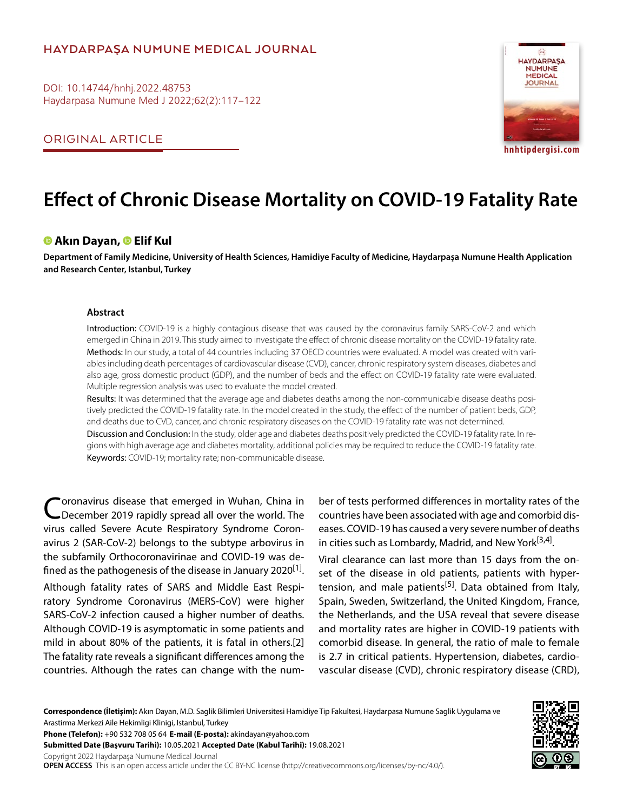# **HAYDARPAŞA NUMUNE MEDICAL JOURNAL**

DOI: 10.14744/hnhj.2022.48753 Haydarpasa Numune Med J 2022;62(2):117–122

ORIGINAL ARTICLE



# **Effect of Chronic Disease Mortality on COVID-19 Fatality Rate**

## **Akın Dayan,Elif Kul**

**Department of Family Medicine, University of Health Sciences, Hamidiye Faculty of Medicine, Haydarpaşa Numune Health Application and Research Center, Istanbul, Turkey**

#### **Abstract**

Introduction: COVID-19 is a highly contagious disease that was caused by the coronavirus family SARS-CoV-2 and which emerged in China in 2019. This study aimed to investigate the effect of chronic disease mortality on the COVID-19 fatality rate. Methods: In our study, a total of 44 countries including 37 OECD countries were evaluated. A model was created with variables including death percentages of cardiovascular disease (CVD), cancer, chronic respiratory system diseases, diabetes and also age, gross domestic product (GDP), and the number of beds and the effect on COVID-19 fatality rate were evaluated. Multiple regression analysis was used to evaluate the model created.

Results: It was determined that the average age and diabetes deaths among the non-communicable disease deaths positively predicted the COVID-19 fatality rate. In the model created in the study, the effect of the number of patient beds, GDP, and deaths due to CVD, cancer, and chronic respiratory diseases on the COVID-19 fatality rate was not determined. Discussion and Conclusion: In the study, older age and diabetes deaths positively predicted the COVID-19 fatality rate. In re-

gions with high average age and diabetes mortality, additional policies may be required to reduce the COVID-19 fatality rate. Keywords: COVID-19; mortality rate; non-communicable disease.

Coronavirus disease that emerged in Wuhan, China in<br>CDecember 2019 rapidly spread all over the world. The virus called Severe Acute Respiratory Syndrome Coronavirus 2 (SAR-CoV-2) belongs to the subtype arbovirus in the subfamily Orthocoronavirinae and COVID-19 was defined as the pathogenesis of the disease in January 2020<sup>[1]</sup>.

Although fatality rates of SARS and Middle East Respiratory Syndrome Coronavirus (MERS-CoV) were higher SARS-CoV-2 infection caused a higher number of deaths. Although COVID-19 is asymptomatic in some patients and mild in about 80% of the patients, it is fatal in others.[2] The fatality rate reveals a significant differences among the countries. Although the rates can change with the number of tests performed differences in mortality rates of the countries have been associated with age and comorbid diseases. COVID-19 has caused a very severe number of deaths in cities such as Lombardy, Madrid, and New York $[3,4]$ .

Viral clearance can last more than 15 days from the onset of the disease in old patients, patients with hypertension, and male patients<sup>[5]</sup>. Data obtained from Italy, Spain, Sweden, Switzerland, the United Kingdom, France, the Netherlands, and the USA reveal that severe disease and mortality rates are higher in COVID-19 patients with comorbid disease. In general, the ratio of male to female is 2.7 in critical patients. Hypertension, diabetes, cardiovascular disease (CVD), chronic respiratory disease (CRD),

**Correspondence (İletişim):** Akın Dayan, M.D. Saglik Bilimleri Universitesi Hamidiye Tip Fakultesi, Haydarpasa Numune Saglik Uygulama ve Arastirma Merkezi Aile Hekimligi Klinigi, Istanbul, Turkey

**Phone (Telefon):** +90 532 708 05 64 **E-mail (E-posta):** akindayan@yahoo.com

**Submitted Date (Başvuru Tarihi):** 10.05.2021 **Accepted Date (Kabul Tarihi):** 19.08.2021

Copyright 2022 Haydarpaşa Numune Medical Journal

**OPEN ACCESS** This is an open access article under the CC BY-NC license (http://creativecommons.org/licenses/by-nc/4.0/).

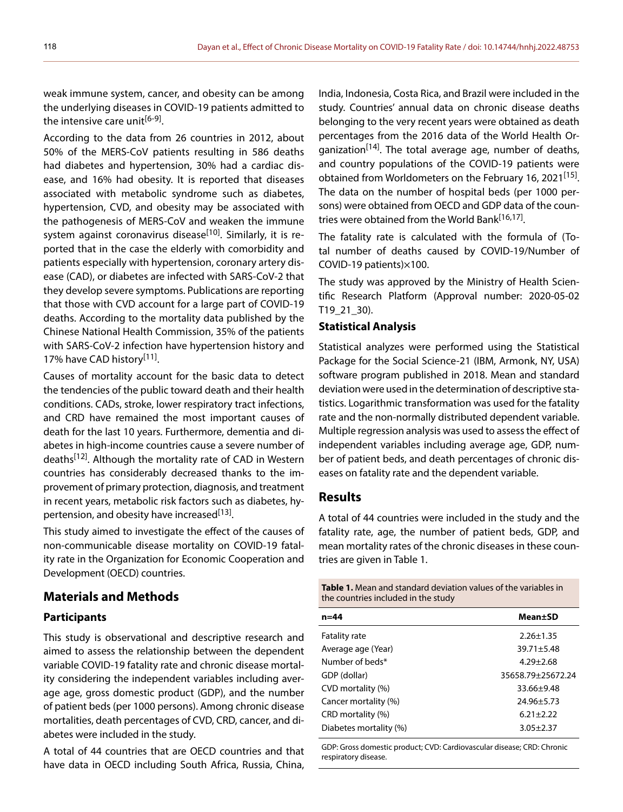weak immune system, cancer, and obesity can be among the underlying diseases in COVID-19 patients admitted to the intensive care unit<sup>[6-9]</sup>.

According to the data from 26 countries in 2012, about 50% of the MERS-CoV patients resulting in 586 deaths had diabetes and hypertension, 30% had a cardiac disease, and 16% had obesity. It is reported that diseases associated with metabolic syndrome such as diabetes, hypertension, CVD, and obesity may be associated with the pathogenesis of MERS-CoV and weaken the immune system against coronavirus disease<sup>[10]</sup>. Similarly, it is reported that in the case the elderly with comorbidity and patients especially with hypertension, coronary artery disease (CAD), or diabetes are infected with SARS-CoV-2 that they develop severe symptoms. Publications are reporting that those with CVD account for a large part of COVID-19 deaths. According to the mortality data published by the Chinese National Health Commission, 35% of the patients with SARS-CoV-2 infection have hypertension history and 17% have CAD history<sup>[11]</sup>.

Causes of mortality account for the basic data to detect the tendencies of the public toward death and their health conditions. CADs, stroke, lower respiratory tract infections, and CRD have remained the most important causes of death for the last 10 years. Furthermore, dementia and diabetes in high-income countries cause a severe number of deaths<sup>[12]</sup>. Although the mortality rate of CAD in Western countries has considerably decreased thanks to the improvement of primary protection, diagnosis, and treatment in recent years, metabolic risk factors such as diabetes, hypertension, and obesity have increased<sup>[13]</sup>.

This study aimed to investigate the effect of the causes of non-communicable disease mortality on COVID-19 fatality rate in the Organization for Economic Cooperation and Development (OECD) countries.

## **Materials and Methods**

#### **Participants**

This study is observational and descriptive research and aimed to assess the relationship between the dependent variable COVID-19 fatality rate and chronic disease mortality considering the independent variables including average age, gross domestic product (GDP), and the number of patient beds (per 1000 persons). Among chronic disease mortalities, death percentages of CVD, CRD, cancer, and diabetes were included in the study.

A total of 44 countries that are OECD countries and that have data in OECD including South Africa, Russia, China,

India, Indonesia, Costa Rica, and Brazil were included in the study. Countries' annual data on chronic disease deaths belonging to the very recent years were obtained as death percentages from the 2016 data of the World Health Organization<sup>[14]</sup>. The total average age, number of deaths, and country populations of the COVID-19 patients were obtained from Worldometers on the February 16, 2021<sup>[15]</sup>. The data on the number of hospital beds (per 1000 persons) were obtained from OECD and GDP data of the countries were obtained from the World Bank<sup>[16,17]</sup>.

The fatality rate is calculated with the formula of (Total number of deaths caused by COVID-19/Number of COVID-19 patients)×100.

The study was approved by the Ministry of Health Scientific Research Platform (Approval number: 2020-05-02 T19\_21\_30).

#### **Statistical Analysis**

Statistical analyzes were performed using the Statistical Package for the Social Science-21 (IBM, Armonk, NY, USA) software program published in 2018. Mean and standard deviation were used in the determination of descriptive statistics. Logarithmic transformation was used for the fatality rate and the non-normally distributed dependent variable. Multiple regression analysis was used to assess the effect of independent variables including average age, GDP, number of patient beds, and death percentages of chronic diseases on fatality rate and the dependent variable.

## **Results**

A total of 44 countries were included in the study and the fatality rate, age, the number of patient beds, GDP, and mean mortality rates of the chronic diseases in these countries are given in Table 1.

**Table 1.** Mean and standard deviation values of the variables in the countries included in the study

| n=44                   | Mean±SD           |  |  |  |
|------------------------|-------------------|--|--|--|
| <b>Fatality rate</b>   | $2.26 \pm 1.35$   |  |  |  |
| Average age (Year)     | $39.71 \pm 5.48$  |  |  |  |
| Number of beds*        | $4.29 + 2.68$     |  |  |  |
| GDP (dollar)           | 35658.79+25672.24 |  |  |  |
| CVD mortality (%)      | $33.66 + 9.48$    |  |  |  |
| Cancer mortality (%)   | 24.96±5.73        |  |  |  |
| CRD mortality (%)      | $6.21 + 2.22$     |  |  |  |
| Diabetes mortality (%) | $3.05 + 2.37$     |  |  |  |

GDP: Gross domestic product; CVD: Cardiovascular disease; CRD: Chronic respiratory disease.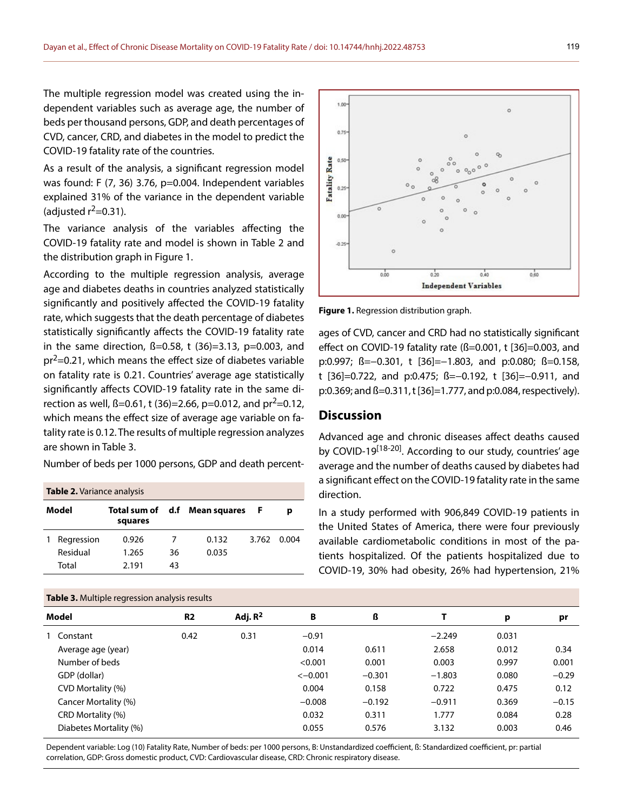The multiple regression model was created using the independent variables such as average age, the number of beds per thousand persons, GDP, and death percentages of CVD, cancer, CRD, and diabetes in the model to predict the COVID-19 fatality rate of the countries.

As a result of the analysis, a significant regression model was found: F (7, 36) 3.76, p=0.004. Independent variables explained 31% of the variance in the dependent variable (adjusted  $r^2=0.31$ ).

The variance analysis of the variables affecting the COVID-19 fatality rate and model is shown in Table 2 and the distribution graph in Figure 1.

According to the multiple regression analysis, average age and diabetes deaths in countries analyzed statistically significantly and positively affected the COVID-19 fatality rate, which suggests that the death percentage of diabetes statistically significantly affects the COVID-19 fatality rate in the same direction,  $\beta = 0.58$ , t (36)=3.13, p=0.003, and  $pr^2$ =0.21, which means the effect size of diabetes variable on fatality rate is 0.21. Countries' average age statistically significantly affects COVID-19 fatality rate in the same direction as well,  $\beta$ =0.61, t (36)=2.66, p=0.012, and pr<sup>2</sup>=0.12, which means the effect size of average age variable on fatality rate is 0.12. The results of multiple regression analyzes are shown in Table 3.

Number of beds per 1000 persons, GDP and death percent-

| <b>Table 2.</b> Variance analysis |            |         |    |                               |       |       |  |  |  |  |
|-----------------------------------|------------|---------|----|-------------------------------|-------|-------|--|--|--|--|
| Model                             |            | squares |    | Total sum of d.f Mean squares | .F    | р     |  |  |  |  |
|                                   | Regression | 0.926   |    | 0.132                         | 3.762 | 0.004 |  |  |  |  |
|                                   | Residual   | 1.265   | 36 | 0.035                         |       |       |  |  |  |  |
|                                   | Total      | 2 1 9 1 | 43 |                               |       |       |  |  |  |  |



o

**Figure 1.** Regression distribution graph.

ages of CVD, cancer and CRD had no statistically significant effect on COVID-19 fatality rate ( $\beta$ =0.001, t [36]=0.003, and p:0.997; ß=–0.301, t [36]=–1.803, and p:0.080; ß=0.158, t [36]=0.722, and p:0.475; ß=−0.192, t [36]=−0.911, and p:0.369; and ß=0.311, t [36]=1.777, and p:0.084, respectively).

## **Discussion**

1.00

Advanced age and chronic diseases affect deaths caused by COVID-19 $^{[18-20]}$ . According to our study, countries' age average and the number of deaths caused by diabetes had a significant effect on the COVID-19 fatality rate in the same direction.

In a study performed with 906,849 COVID-19 patients in the United States of America, there were four previously available cardiometabolic conditions in most of the patients hospitalized. Of the patients hospitalized due to COVID-19, 30% had obesity, 26% had hypertension, 21%

| <b>Rapie 3.</b> Multiple regression drialysis results |                                                                                                                                                                         |            |           |          |          |       |         |  |  |
|-------------------------------------------------------|-------------------------------------------------------------------------------------------------------------------------------------------------------------------------|------------|-----------|----------|----------|-------|---------|--|--|
|                                                       | R <sub>2</sub>                                                                                                                                                          | Adj. $R^2$ | B         | ß        |          | р     | pr      |  |  |
|                                                       | 0.42                                                                                                                                                                    | 0.31       | $-0.91$   |          | $-2.249$ | 0.031 |         |  |  |
|                                                       |                                                                                                                                                                         |            | 0.014     | 0.611    | 2.658    | 0.012 | 0.34    |  |  |
|                                                       |                                                                                                                                                                         |            | < 0.001   | 0.001    | 0.003    | 0.997 | 0.001   |  |  |
|                                                       |                                                                                                                                                                         |            | $<-0.001$ | $-0.301$ | $-1.803$ | 0.080 | $-0.29$ |  |  |
|                                                       |                                                                                                                                                                         |            | 0.004     | 0.158    | 0.722    | 0.475 | 0.12    |  |  |
|                                                       |                                                                                                                                                                         |            | $-0.008$  | $-0.192$ | $-0.911$ | 0.369 | $-0.15$ |  |  |
|                                                       |                                                                                                                                                                         |            | 0.032     | 0.311    | 1.777    | 0.084 | 0.28    |  |  |
|                                                       |                                                                                                                                                                         |            | 0.055     | 0.576    | 3.132    | 0.003 | 0.46    |  |  |
|                                                       | Model<br>1 Constant<br>Average age (year)<br>Number of beds<br>GDP (dollar)<br>CVD Mortality (%)<br>Cancer Mortality (%)<br>CRD Mortality (%)<br>Diabetes Mortality (%) |            |           |          |          |       |         |  |  |

Dependent variable: Log (10) Fatality Rate, Number of beds: per 1000 persons, B: Unstandardized coefficient, ß: Standardized coefficient, pr: partial correlation, GDP: Gross domestic product, CVD: Cardiovascular disease, CRD: Chronic respiratory disease.

**Table 3.** Multiple regression analysis results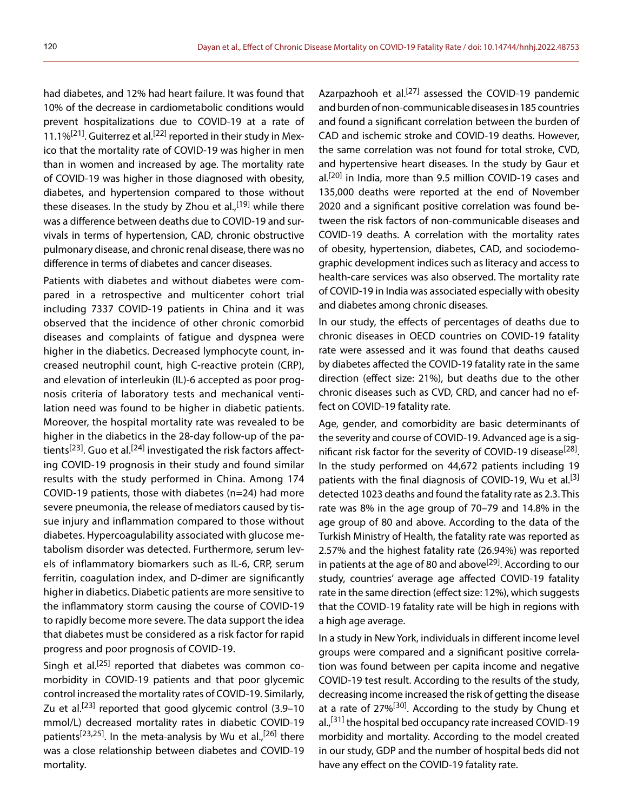had diabetes, and 12% had heart failure. It was found that 10% of the decrease in cardiometabolic conditions would prevent hospitalizations due to COVID-19 at a rate of 11.1% $[21]$ . Guiterrez et al.<sup>[22]</sup> reported in their study in Mexico that the mortality rate of COVID-19 was higher in men than in women and increased by age. The mortality rate of COVID-19 was higher in those diagnosed with obesity, diabetes, and hypertension compared to those without these diseases. In the study by Zhou et al.,<sup>[19]</sup> while there was a difference between deaths due to COVID-19 and survivals in terms of hypertension, CAD, chronic obstructive pulmonary disease, and chronic renal disease, there was no difference in terms of diabetes and cancer diseases.

Patients with diabetes and without diabetes were compared in a retrospective and multicenter cohort trial including 7337 COVID-19 patients in China and it was observed that the incidence of other chronic comorbid diseases and complaints of fatigue and dyspnea were higher in the diabetics. Decreased lymphocyte count, increased neutrophil count, high C-reactive protein (CRP), and elevation of interleukin (IL)-6 accepted as poor prognosis criteria of laboratory tests and mechanical ventilation need was found to be higher in diabetic patients. Moreover, the hospital mortality rate was revealed to be higher in the diabetics in the 28-day follow-up of the patients<sup>[23]</sup>. Guo et al.<sup>[24]</sup> investigated the risk factors affecting COVID-19 prognosis in their study and found similar results with the study performed in China. Among 174 COVID-19 patients, those with diabetes (n=24) had more severe pneumonia, the release of mediators caused by tissue injury and inflammation compared to those without diabetes. Hypercoagulability associated with glucose metabolism disorder was detected. Furthermore, serum levels of inflammatory biomarkers such as IL-6, CRP, serum ferritin, coagulation index, and D-dimer are significantly higher in diabetics. Diabetic patients are more sensitive to the inflammatory storm causing the course of COVID-19 to rapidly become more severe. The data support the idea that diabetes must be considered as a risk factor for rapid progress and poor prognosis of COVID-19.

Singh et al.<sup>[25]</sup> reported that diabetes was common comorbidity in COVID-19 patients and that poor glycemic control increased the mortality rates of COVID-19. Similarly, Zu et al.<sup>[23]</sup> reported that good glycemic control  $(3.9-10)$ mmol/L) decreased mortality rates in diabetic COVID-19 patients<sup>[23,25]</sup>. In the meta-analysis by Wu et al.,<sup>[26]</sup> there was a close relationship between diabetes and COVID-19 mortality.

Azarpazhooh et al.<sup>[27]</sup> assessed the COVID-19 pandemic and burden of non-communicable diseases in 185 countries and found a significant correlation between the burden of CAD and ischemic stroke and COVID-19 deaths. However, the same correlation was not found for total stroke, CVD, and hypertensive heart diseases. In the study by Gaur et al.[20] in India, more than 9.5 million COVID-19 cases and 135,000 deaths were reported at the end of November 2020 and a significant positive correlation was found between the risk factors of non-communicable diseases and COVID-19 deaths. A correlation with the mortality rates of obesity, hypertension, diabetes, CAD, and sociodemographic development indices such as literacy and access to health-care services was also observed. The mortality rate of COVID-19 in India was associated especially with obesity and diabetes among chronic diseases.

In our study, the effects of percentages of deaths due to chronic diseases in OECD countries on COVID-19 fatality rate were assessed and it was found that deaths caused by diabetes affected the COVID-19 fatality rate in the same direction (effect size: 21%), but deaths due to the other chronic diseases such as CVD, CRD, and cancer had no effect on COVID-19 fatality rate.

Age, gender, and comorbidity are basic determinants of the severity and course of COVID-19. Advanced age is a significant risk factor for the severity of COVID-19 disease<sup>[28]</sup>. In the study performed on 44,672 patients including 19 patients with the final diagnosis of COVID-19, Wu et al.<sup>[3]</sup> detected 1023 deaths and found the fatality rate as 2.3. This rate was 8% in the age group of 70–79 and 14.8% in the age group of 80 and above. According to the data of the Turkish Ministry of Health, the fatality rate was reported as 2.57% and the highest fatality rate (26.94%) was reported in patients at the age of 80 and above<sup>[29]</sup>. According to our study, countries' average age affected COVID-19 fatality rate in the same direction (effect size: 12%), which suggests that the COVID-19 fatality rate will be high in regions with a high age average.

In a study in New York, individuals in different income level groups were compared and a significant positive correlation was found between per capita income and negative COVID-19 test result. According to the results of the study, decreasing income increased the risk of getting the disease at a rate of  $27\%^{[30]}$ . According to the study by Chung et al.,<sup>[31]</sup> the hospital bed occupancy rate increased COVID-19 morbidity and mortality. According to the model created in our study, GDP and the number of hospital beds did not have any effect on the COVID-19 fatality rate.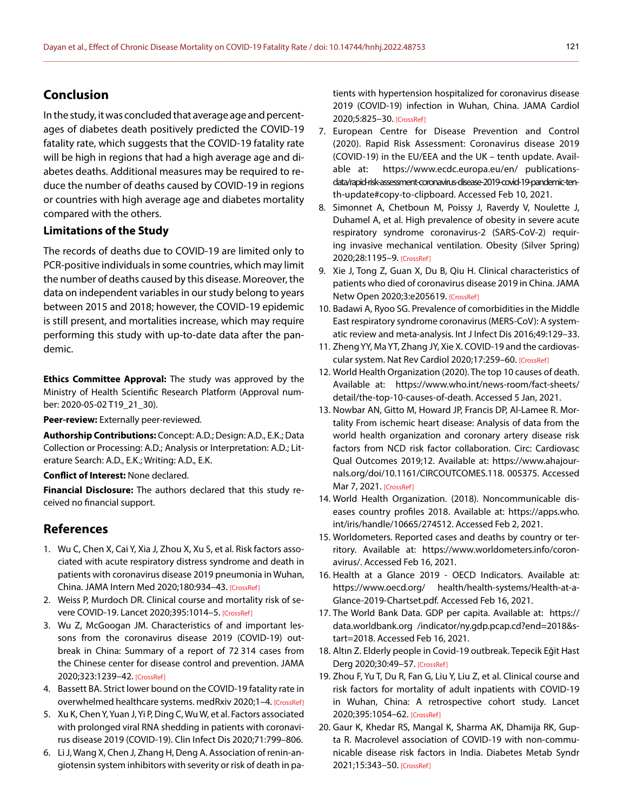# **Conclusion**

In the study, it was concluded that average age and percentages of diabetes death positively predicted the COVID-19 fatality rate, which suggests that the COVID-19 fatality rate will be high in regions that had a high average age and diabetes deaths. Additional measures may be required to reduce the number of deaths caused by COVID-19 in regions or countries with high average age and diabetes mortality compared with the others.

## **Limitations of the Study**

The records of deaths due to COVID-19 are limited only to PCR-positive individuals in some countries, which may limit the number of deaths caused by this disease. Moreover, the data on independent variables in our study belong to years between 2015 and 2018; however, the COVID-19 epidemic is still present, and mortalities increase, which may require performing this study with up-to-date data after the pandemic.

**Ethics Committee Approval:** The study was approved by the Ministry of Health Scientific Research Platform (Approval number: 2020-05-02 T19\_21\_30).

**Peer-review:** Externally peer-reviewed.

**Authorship Contributions:** Concept: A.D.; Design: A.D., E.K.; Data Collection or Processing: A.D.; Analysis or Interpretation: A.D.; Literature Search: A.D., E.K.; Writing: A.D., E.K.

**Conflict of Interest:** None declared.

**Financial Disclosure:** The authors declared that this study received no financial support.

# **References**

- 1. Wu C, Chen X, Cai Y, Xia J, Zhou X, Xu S, et al. Risk factors associated with acute respiratory distress syndrome and death in patients with coronavirus disease 2019 pneumonia in Wuhan, China. JAMA Intern Med 2020;180:934–43. [\[CrossRef\]](https://doi.org/10.1001/jamainternmed.2020.0994)
- 2. Weiss P, Murdoch DR. Clinical course and mortality risk of severe COVID-19. Lancet 2020;395:1014–5. [\[CrossRef\]](https://doi.org/10.1016/S0140-6736(20)30633-4)
- 3. Wu Z, McGoogan JM. Characteristics of and important lessons from the coronavirus disease 2019 (COVID-19) outbreak in China: Summary of a report of 72 314 cases from the Chinese center for disease control and prevention. JAMA 2020;323:1239–42. [\[CrossRef\]](https://doi.org/10.1001/jama.2020.2648)
- 4. Bassett BA. Strict lower bound on the COVID-19 fatality rate in overwhelmed healthcare systems. medRxiv 2020;1-4. [\[CrossRef\]](https://doi.org/10.1101/2020.04.22.20076026)
- 5. Xu K, Chen Y, Yuan J, Yi P, Ding C, Wu W, et al. Factors associated with prolonged viral RNA shedding in patients with coronavirus disease 2019 (COVID-19). Clin Infect Dis [2020;71:799–806.](https://doi.org/10.1093/cid/ciaa351)
- 6. Li J, Wang X, Chen J, Zhang H, Deng A. Association of renin-angiotensin system inhibitors with severity or risk of death in pa-

tients with hypertension hospitalized for coronavirus disease 2019 (COVID-19) infection in Wuhan, China. JAMA Cardiol 2020;5:825–30[. \[CrossRef\]](https://doi.org/10.1001/jamacardio.2020.1624)

- 7. European Centre for Disease Prevention and Control (2020). Rapid Risk Assessment: Coronavirus disease 2019 (COVID-19) in the EU/EEA and the UK – tenth update. Available at: https://www.ecdc.europa.eu/en/ publicationsdata/rapid-risk-assessment-coronavirus-disease-2019-covid-19-pandemic-tenth-update#copy-to-clipboard. Accessed Feb 10, 2021.
- 8. Simonnet A, Chetboun M, Poissy J, Raverdy V, Noulette J, Duhamel A, et al. High prevalence of obesity in severe acute respiratory syndrome coronavirus-2 (SARS-CoV-2) requiring invasive mechanical ventilation. Obesity (Silver Spring) 2020;28:1195–9. [\[CrossRef\]](https://doi.org/10.1002/oby.22831)
- 9. Xie J, Tong Z, Guan X, Du B, Qiu H. Clinical characteristics of patients who died of coronavirus disease 2019 in China. JAMA Netw Open 2020;3:e205619. [\[CrossRef\]](https://doi.org/10.1001/jamanetworkopen.2020.5619)
- 10. Badawi A, Ryoo SG. Prevalence of comorbidities in the Middle East respiratory syndrome coronavirus (MERS-CoV): A systematic review and meta-analysis. Int J Infect Dis [2016;49:129–33.](https://doi.org/10.1016/j.ijid.2016.06.015)
- 11. Zheng YY, Ma YT, Zhang JY, Xie X. COVID-19 and the cardiovascular system. Nat Rev Cardiol 2020;17:259–60[. \[CrossRef\]](https://doi.org/10.1038/s41569-020-0360-5)
- 12. World Health Organization (2020). The top 10 causes of death. Available at: https://www.who.int/news-room/fact-sheets/ detail/the-top-10-causes-of-death. Accessed 5 Jan, 2021.
- 13. Nowbar AN, Gitto M, Howard JP, Francis DP, Al-Lamee R. Mortality From ischemic heart disease: Analysis of data from the world health organization and coronary artery disease risk factors from NCD risk factor collaboration. Circ: Cardiovasc Qual Outcomes 2019;12. Available at: https://www.ahajournals.org/doi/10.1161/CIRCOUTCOMES.118. 005375. Accessed Mar 7, 2021. [\[CrossRef\]](https://doi.org/10.1161/CIRCOUTCOMES.118.005375)
- 14. World Health Organization. (2018). Noncommunicable diseases country profiles 2018. Available at: https://apps.who. int/iris/handle/10665/274512. Accessed Feb 2, 2021.
- 15. Worldometers. Reported cases and deaths by country or territory. Available at: https://www.worldometers.info/coronavirus/. Accessed Feb 16, 2021.
- 16. Health at a Glance 2019 OECD Indicators. Available at: https://www.oecd.org/ health/health-systems/Health-at-a-Glance-2019-Chartset.pdf. Accessed Feb 16, 2021.
- 17. The World Bank Data. GDP per capita. Available at: https:// data.worldbank.org /indicator/ny.gdp.pcap.cd?end=2018&start=2018. Accessed Feb 16, 2021.
- 18. Altın Z. Elderly people in Covid-19 outbreak. Tepecik Eğit Hast Derg 2020;30:49–57. [\[CrossRef\]](https://doi.org/10.5222/terh.2020.93723)
- 19. Zhou F, Yu T, Du R, Fan G, Liu Y, Liu Z, et al. Clinical course and risk factors for mortality of adult inpatients with COVID-19 in Wuhan, China: A retrospective cohort study. Lancet 2020;395:1054–62[. \[CrossRef\]](https://doi.org/10.1016/S0140-6736(20)30566-3)
- 20. Gaur K, Khedar RS, Mangal K, Sharma AK, Dhamija RK, Gupta R. Macrolevel association of COVID-19 with non-communicable disease risk factors in India. Diabetes Metab Syndr 2021;15:343–50[. \[CrossRef\]](https://doi.org/10.1016/j.dsx.2021.01.005)